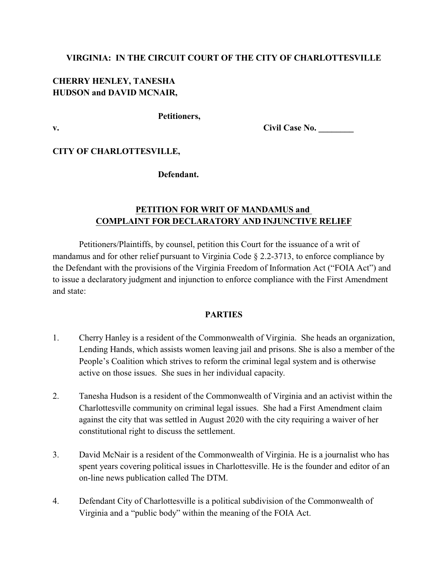# **VIRGINIA: IN THE CIRCUIT COURT OF THE CITY OF CHARLOTTESVILLE**

# **CHERRY HENLEY, TANESHA HUDSON and DAVID MCNAIR,**

### **Petitioners,**

**v. Civil Case No. Civil Case No.** 

# **CITY OF CHARLOTTESVILLE,**

### **Defendant.**

# **PETITION FOR WRIT OF MANDAMUS and COMPLAINT FOR DECLARATORY AND INJUNCTIVE RELIEF**

Petitioners/Plaintiffs, by counsel, petition this Court for the issuance of a writ of mandamus and for other relief pursuant to Virginia Code § 2.2-3713, to enforce compliance by the Defendant with the provisions of the Virginia Freedom of Information Act ("FOIA Act") and to issue a declaratory judgment and injunction to enforce compliance with the First Amendment and state:

### **PARTIES**

- 1. Cherry Hanley is a resident of the Commonwealth of Virginia. She heads an organization, Lending Hands, which assists women leaving jail and prisons. She is also a member of the People's Coalition which strives to reform the criminal legal system and is otherwise active on those issues. She sues in her individual capacity.
- 2. Tanesha Hudson is a resident of the Commonwealth of Virginia and an activist within the Charlottesville community on criminal legal issues. She had a First Amendment claim against the city that was settled in August 2020 with the city requiring a waiver of her constitutional right to discuss the settlement.
- 3. David McNair is a resident of the Commonwealth of Virginia. He is a journalist who has spent years covering political issues in Charlottesville. He is the founder and editor of an on-line news publication called The DTM.
- 4. Defendant City of Charlottesville is a political subdivision of the Commonwealth of Virginia and a "public body" within the meaning of the FOIA Act.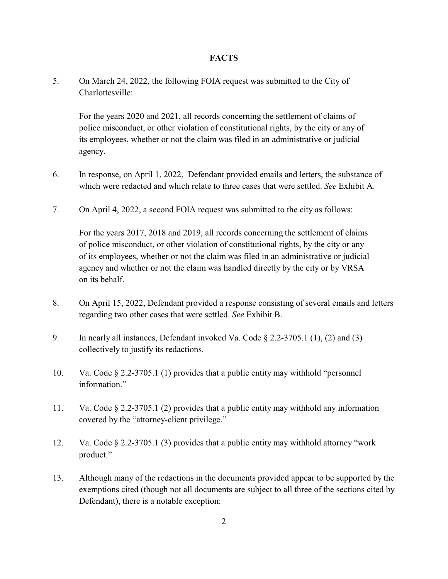#### **FACTS**

5. On March 24, 2022, the following FOIA request was submitted to the City of Charlottesville:

For the years 2020 and 2021, all records concerning the settlement of claims of police misconduct, or other violation of constitutional rights, by the city or any of its employees, whether or not the claim was filed in an administrative or judicial agency.

- 6. In response, on April 1, 2022, Defendant provided emails and letters, the substance of which were redacted and which relate to three cases that were settled. *See* Exhibit A.
- 7. On April 4, 2022, a second FOIA request was submitted to the city as follows:

For the years 2017, 2018 and 2019, all records concerning the settlement of claims of police misconduct, or other violation of constitutional rights, by the city or any of its employees, whether or not the claim was filed in an administrative or judicial agency and whether or not the claim was handled directly by the city or by VRSA on its behalf.

- 8. On April 15, 2022, Defendant provided a response consisting of several emails and letters regarding two other cases that were settled. *See* Exhibit B.
- 9. In nearly all instances, Defendant invoked Va. Code § 2.2-3705.1 (1), (2) and (3) collectively to justify its redactions.
- 10. Va. Code § 2.2-3705.1 (1) provides that a public entity may withhold "personnel information."
- 11. Va. Code § 2.2-3705.1 (2) provides that a public entity may withhold any information covered by the "attorney-client privilege."
- 12. Va. Code § 2.2-3705.1 (3) provides that a public entity may withhold attorney "work product."
- 13. Although many of the redactions in the documents provided appear to be supported by the exemptions cited (though not all documents are subject to all three of the sections cited by Defendant), there is a notable exception: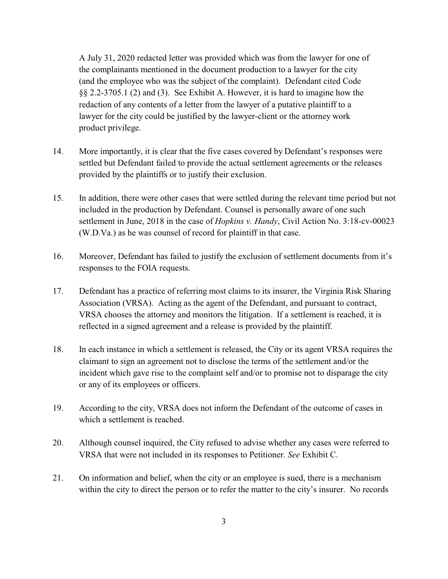A July 31, 2020 redacted letter was provided which was from the lawyer for one of the complainants mentioned in the document production to a lawyer for the city (and the employee who was the subject of the complaint). Defendant cited Code §§ 2.2-3705.1 (2) and (3). See Exhibit A. However, it is hard to imagine how the redaction of any contents of a letter from the lawyer of a putative plaintiff to a lawyer for the city could be justified by the lawyer-client or the attorney work product privilege.

- 14. More importantly, it is clear that the five cases covered by Defendant's responses were settled but Defendant failed to provide the actual settlement agreements or the releases provided by the plaintiffs or to justify their exclusion.
- 15. In addition, there were other cases that were settled during the relevant time period but not included in the production by Defendant. Counsel is personally aware of one such settlement in June, 2018 in the case of *Hopkins v. Handy*, Civil Action No. 3:18-cv-00023 (W.D.Va.) as he was counsel of record for plaintiff in that case.
- 16. Moreover, Defendant has failed to justify the exclusion of settlement documents from it's responses to the FOIA requests.
- 17. Defendant has a practice of referring most claims to its insurer, the Virginia Risk Sharing Association (VRSA). Acting as the agent of the Defendant, and pursuant to contract, VRSA chooses the attorney and monitors the litigation. If a settlement is reached, it is reflected in a signed agreement and a release is provided by the plaintiff.
- 18. In each instance in which a settlement is released, the City or its agent VRSA requires the claimant to sign an agreement not to disclose the terms of the settlement and/or the incident which gave rise to the complaint self and/or to promise not to disparage the city or any of its employees or officers.
- 19. According to the city, VRSA does not inform the Defendant of the outcome of cases in which a settlement is reached.
- 20. Although counsel inquired, the City refused to advise whether any cases were referred to VRSA that were not included in its responses to Petitioner. *See* Exhibit C.
- 21. On information and belief, when the city or an employee is sued, there is a mechanism within the city to direct the person or to refer the matter to the city's insurer. No records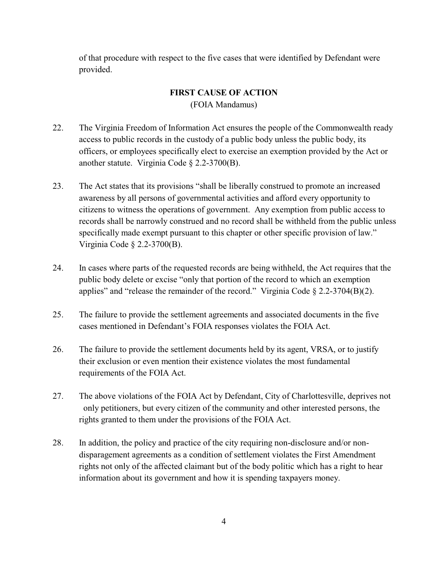of that procedure with respect to the five cases that were identified by Defendant were provided.

### **FIRST CAUSE OF ACTION**

(FOIA Mandamus)

- 22. The Virginia Freedom of Information Act ensures the people of the Commonwealth ready access to public records in the custody of a public body unless the public body, its officers, or employees specifically elect to exercise an exemption provided by the Act or another statute. Virginia Code § 2.2-3700(B).
- 23. The Act states that its provisions "shall be liberally construed to promote an increased awareness by all persons of governmental activities and afford every opportunity to citizens to witness the operations of government. Any exemption from public access to records shall be narrowly construed and no record shall be withheld from the public unless specifically made exempt pursuant to this chapter or other specific provision of law." Virginia Code § 2.2-3700(B).
- 24. In cases where parts of the requested records are being withheld, the Act requires that the public body delete or excise "only that portion of the record to which an exemption applies" and "release the remainder of the record." Virginia Code  $\S 2.2-3704(B)(2)$ .
- 25. The failure to provide the settlement agreements and associated documents in the five cases mentioned in Defendant's FOIA responses violates the FOIA Act.
- 26. The failure to provide the settlement documents held by its agent, VRSA, or to justify their exclusion or even mention their existence violates the most fundamental requirements of the FOIA Act.
- 27. The above violations of the FOIA Act by Defendant, City of Charlottesville, deprives not only petitioners, but every citizen of the community and other interested persons, the rights granted to them under the provisions of the FOIA Act.
- 28. In addition, the policy and practice of the city requiring non-disclosure and/or nondisparagement agreements as a condition of settlement violates the First Amendment rights not only of the affected claimant but of the body politic which has a right to hear information about its government and how it is spending taxpayers money.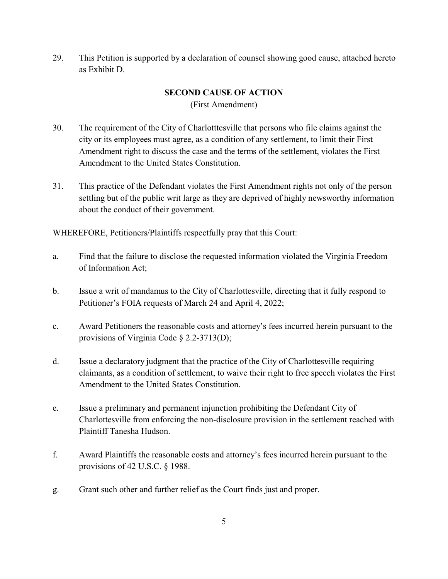29. This Petition is supported by a declaration of counsel showing good cause, attached hereto as Exhibit D.

# **SECOND CAUSE OF ACTION**

(First Amendment)

- 30. The requirement of the City of Charlotttesville that persons who file claims against the city or its employees must agree, as a condition of any settlement, to limit their First Amendment right to discuss the case and the terms of the settlement, violates the First Amendment to the United States Constitution.
- 31. This practice of the Defendant violates the First Amendment rights not only of the person settling but of the public writ large as they are deprived of highly newsworthy information about the conduct of their government.

WHEREFORE, Petitioners/Plaintiffs respectfully pray that this Court:

- a. Find that the failure to disclose the requested information violated the Virginia Freedom of Information Act;
- b. Issue a writ of mandamus to the City of Charlottesville, directing that it fully respond to Petitioner's FOIA requests of March 24 and April 4, 2022;
- c. Award Petitioners the reasonable costs and attorney's fees incurred herein pursuant to the provisions of Virginia Code § 2.2-3713(D);
- d. Issue a declaratory judgment that the practice of the City of Charlottesville requiring claimants, as a condition of settlement, to waive their right to free speech violates the First Amendment to the United States Constitution.
- e. Issue a preliminary and permanent injunction prohibiting the Defendant City of Charlottesville from enforcing the non-disclosure provision in the settlement reached with Plaintiff Tanesha Hudson.
- f. Award Plaintiffs the reasonable costs and attorney's fees incurred herein pursuant to the provisions of 42 U.S.C. § 1988.
- g. Grant such other and further relief as the Court finds just and proper.